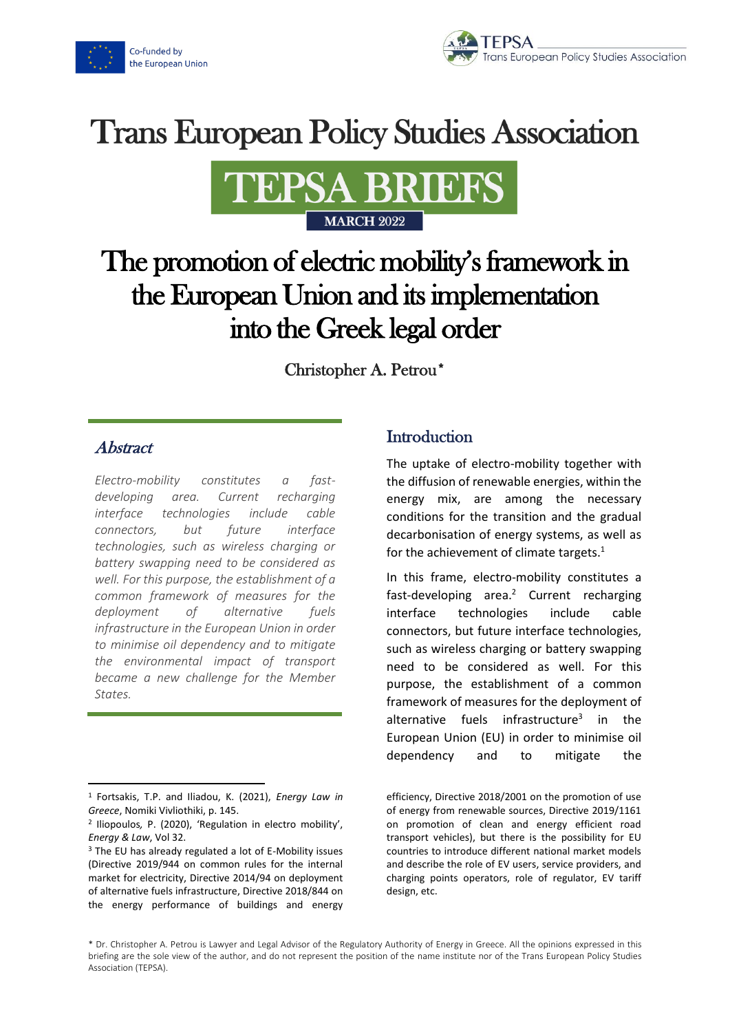



# **Trans European Policy Studies Association**



## The promotion of electric mobility's framework in the European Union and its implementation into the Greek legal order

Christopher A. Petrou\*

### Abstract

*Electro-mobility constitutes a fastdeveloping area. Current recharging interface technologies include cable connectors, but future interface technologies, such as wireless charging or battery swapping need to be considered as well. For this purpose, the establishment of a common framework of measures for the deployment of alternative fuels infrastructure in the European Union in order to minimise oil dependency and to mitigate the environmental impact of transport became a new challenge for the Member States.*

## **Introduction**

The uptake of electro-mobility together with the diffusion of renewable energies, within the energy mix, are among the necessary conditions for the transition and the gradual decarbonisation of energy systems, as well as for the achievement of climate targets. $1$ 

In this frame, electro-mobility constitutes a fast-developing area.<sup>2</sup> Current recharging interface technologies include cable connectors, but future interface technologies, such as wireless charging or battery swapping need to be considered as well. For this purpose, the establishment of a common framework of measures for the deployment of alternative fuels infrastructure<sup>3</sup> in the European Union (EU) in order to minimise oil dependency and to mitigate the

<sup>1</sup> Fortsakis, T.P. and Iliadou, K. (2021), *Energy Law in Greece*, Nomiki Vivliothiki, p. 145.

<sup>2</sup> Iliopoulos*,* P. (2020), 'Regulation in electro mobility', *Energy & Law*, Vol 32.

<sup>3</sup> The EU has already regulated a lot of E-Mobility issues (Directive 2019/944 on common rules for the internal market for electricity, Directive 2014/94 on deployment of alternative fuels infrastructure, Directive 2018/844 on the energy performance of buildings and energy

efficiency, Directive 2018/2001 on the promotion of use of energy from renewable sources, Directive 2019/1161 on promotion of clean and energy efficient road transport vehicles), but there is the possibility for EU countries to introduce different national market models and describe the role of EV users, service providers, and charging points operators, role of regulator, EV tariff design, etc.

<sup>\*</sup> Dr. Christopher A. Petrou is Lawyer and Legal Advisor of the Regulatory Authority of Energy in Greece. All the opinions expressed in this briefing are the sole view of the author, and do not represent the position of the name institute nor of the Trans European Policy Studies Association (TEPSA).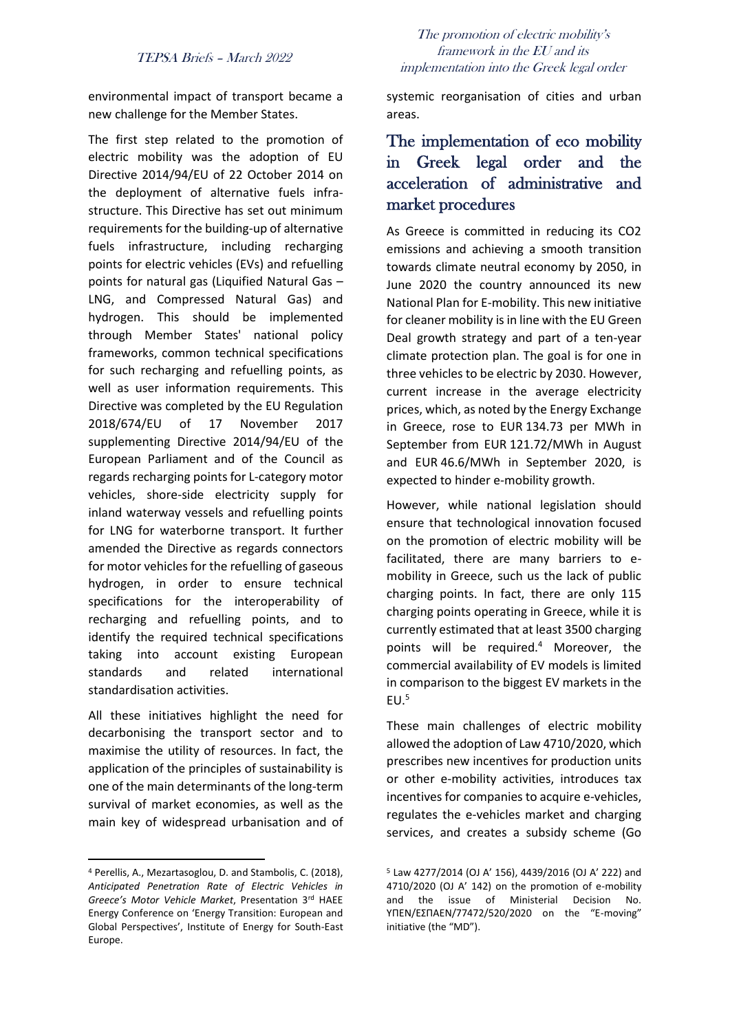#### TEPSA Briefs – March 2022

environmental impact of transport became a new challenge for the Member States.

The first step related to the promotion of electric mobility was the adoption of EU Directive 2014/94/EU of 22 October 2014 on the deployment of alternative fuels infrastructure. This Directive has set out minimum requirements for the building-up of alternative fuels infrastructure, including recharging points for electric vehicles (EVs) and refuelling points for natural gas (Liquified Natural Gas – LNG, and Compressed Natural Gas) and hydrogen. This should be implemented through Member States' national policy frameworks, common technical specifications for such recharging and refuelling points, as well as user information requirements. This Directive was completed by the EU Regulation 2018/674/EU of 17 November 2017 supplementing Directive 2014/94/EU of the European Parliament and of the Council as regards recharging points for L-category motor vehicles, shore-side electricity supply for inland waterway vessels and refuelling points for LNG for waterborne transport. It further amended the Directive as regards connectors for motor vehicles for the refuelling of gaseous hydrogen, in order to ensure technical specifications for the interoperability of recharging and refuelling points, and to identify the required technical specifications taking into account existing European standards and related international standardisation activities.

All these initiatives highlight the need for decarbonising the transport sector and to maximise the utility of resources. In fact, the application of the principles of sustainability is one of the main determinants of the long-term survival of market economies, as well as the main key of widespread urbanisation and of

#### The promotion of electric mobility's framework in the EU and its implementation into the Greek legal order

systemic reorganisation of cities and urban areas.

## The implementation of eco mobility in Greek legal order and the acceleration of administrative and market procedures

As Greece is committed in reducing its CO2 emissions and achieving a smooth transition towards climate neutral economy by 2050, in June 2020 the country announced its new National Plan for E-mobility. This new initiative for cleaner mobility is in line with the EU Green Deal growth strategy and part of a ten-year climate protection plan. The goal is for one in three vehicles to be electric by 2030. However, current increase in the average electricity prices, which, as noted by the Energy Exchange in Greece, rose to EUR 134.73 per MWh in September from EUR 121.72/MWh in August and EUR 46.6/MWh in September 2020, is expected to hinder e-mobility growth.

However, while national legislation should ensure that technological innovation focused on the promotion of electric mobility will be facilitated, there are many barriers to emobility in Greece, such us the lack of public charging points. In fact, there are only 115 charging points operating in Greece, while it is currently estimated that at least 3500 charging points will be required.<sup>4</sup> Moreover, the commercial availability of EV models is limited in comparison to the biggest EV markets in the  $EU<sup>5</sup>$ 

These main challenges of electric mobility allowed the adoption of Law 4710/2020, which prescribes new incentives for production units or other e-mobility activities, introduces tax incentives for companies to acquire e-vehicles, regulates the e-vehicles market and charging services, and creates a subsidy scheme (Go

<sup>4</sup> Perellis, A., Mezartasoglou, D. and Stambolis, C. (2018), *Anticipated Penetration Rate of Electric Vehicles in Greece's Motor Vehicle Market*, Presentation 3rd HAEE Energy Conference on 'Energy Transition: European and Global Perspectives', Institute of Energy for South-East Europe.

<sup>5</sup> Law 4277/2014 (OJ A' 156), 4439/2016 (OJ A' 222) and 4710/2020 (OJ A' 142) on the promotion of e-mobility and the issue of Ministerial Decision No. ΥΠΕΝ/ΕΣΠΑΕΝ/77472/520/2020 on the "E-moving" initiative (the "MD").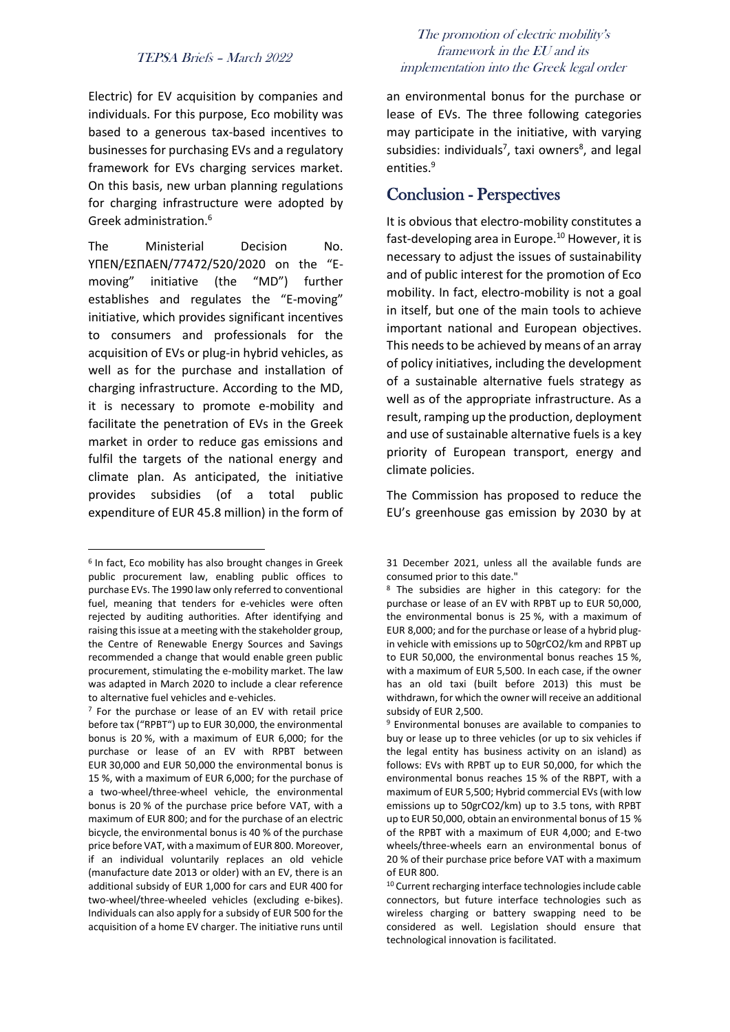#### TEPSA Briefs – March 2022

Electric) for EV acquisition by companies and individuals. For this purpose, Eco mobility was based to a generous tax-based incentives to businesses for purchasing EVs and a regulatory framework for EVs charging services market. On this basis, new urban planning regulations for charging infrastructure were adopted by Greek administration.<sup>6</sup>

The Ministerial Decision No. ΥΠΕΝ/ΕΣΠΑΕΝ/77472/520/2020 on the "Emoving" initiative (the "MD") further establishes and regulates the "E-moving" initiative, which provides significant incentives to consumers and professionals for the acquisition of EVs or plug-in hybrid vehicles, as well as for the purchase and installation of charging infrastructure. According to the MD, it is necessary to promote e-mobility and facilitate the penetration of EVs in the Greek market in order to reduce gas emissions and fulfil the targets of the national energy and climate plan. As anticipated, the initiative provides subsidies (of a total public expenditure of EUR 45.8 million) in the form of

#### The promotion of electric mobility's framework in the EU and its implementation into the Greek legal order

an environmental bonus for the purchase or lease of EVs. The three following categories may participate in the initiative, with varying subsidies: individuals<sup>7</sup>, taxi owners<sup>8</sup>, and legal entities.<sup>9</sup>

#### Conclusion - Perspectives

It is obvious that electro-mobility constitutes a fast-developing area in Europe.<sup>10</sup> However, it is necessary to adjust the issues of sustainability and of public interest for the promotion of Eco mobility. In fact, electro-mobility is not a goal in itself, but one of the main tools to achieve important national and European objectives. This needs to be achieved by means of an array of policy initiatives, including the development of a sustainable alternative fuels strategy as well as of the appropriate infrastructure. As a result, ramping up the production, deployment and use of sustainable alternative fuels is a key priority of European transport, energy and climate policies.

The Commission has proposed to reduce the EU's greenhouse gas emission by 2030 by at

<sup>6</sup> In fact, Eco mobility has also brought changes in Greek public procurement law, enabling public offices to purchase EVs. The 1990 law only referred to conventional fuel, meaning that tenders for e-vehicles were often rejected by auditing authorities. After identifying and raising this issue at a meeting with the stakeholder group, the Centre of Renewable Energy Sources and Savings recommended a change that would enable green public procurement, stimulating the e-mobility market. The law was adapted in March 2020 to include a clear reference to alternative fuel vehicles and e-vehicles.

<sup>7</sup> For the purchase or lease of an EV with retail price before tax ("RPBT") up to EUR 30,000, the environmental bonus is 20 %, with a maximum of EUR 6,000; for the purchase or lease of an EV with RPBT between EUR 30,000 and EUR 50,000 the environmental bonus is 15 %, with a maximum of EUR 6,000; for the purchase of a two-wheel/three-wheel vehicle, the environmental bonus is 20 % of the purchase price before VAT, with a maximum of EUR 800; and for the purchase of an electric bicycle, the environmental bonus is 40 % of the purchase price before VAT, with a maximum of EUR 800. Moreover, if an individual voluntarily replaces an old vehicle (manufacture date 2013 or older) with an EV, there is an additional subsidy of EUR 1,000 for cars and EUR 400 for two-wheel/three-wheeled vehicles (excluding e-bikes). Individuals can also apply for a subsidy of EUR 500 for the acquisition of a home EV charger. The initiative runs until

<sup>31</sup> December 2021, unless all the available funds are consumed prior to this date."

<sup>8</sup> The subsidies are higher in this category: for the purchase or lease of an EV with RPBT up to EUR 50,000, the environmental bonus is 25 %, with a maximum of EUR 8,000; and for the purchase or lease of a hybrid plugin vehicle with emissions up to 50grCO2/km and RPBT up to EUR 50,000, the environmental bonus reaches 15 %, with a maximum of EUR 5,500. In each case, if the owner has an old taxi (built before 2013) this must be withdrawn, for which the owner will receive an additional subsidy of EUR 2,500.

<sup>9</sup> Environmental bonuses are available to companies to buy or lease up to three vehicles (or up to six vehicles if the legal entity has business activity on an island) as follows: EVs with RPBT up to EUR 50,000, for which the environmental bonus reaches 15 % of the RBPT, with a maximum of EUR 5,500; Hybrid commercial EVs (with low emissions up to 50grCO2/km) up to 3.5 tons, with RPBT up to EUR 50,000, obtain an environmental bonus of 15 % of the RPBT with a maximum of EUR 4,000; and E-two wheels/three-wheels earn an environmental bonus of 20 % of their purchase price before VAT with a maximum of EUR 800.

<sup>10</sup> Current recharging interface technologies include cable connectors, but future interface technologies such as wireless charging or battery swapping need to be considered as well. Legislation should ensure that technological innovation is facilitated.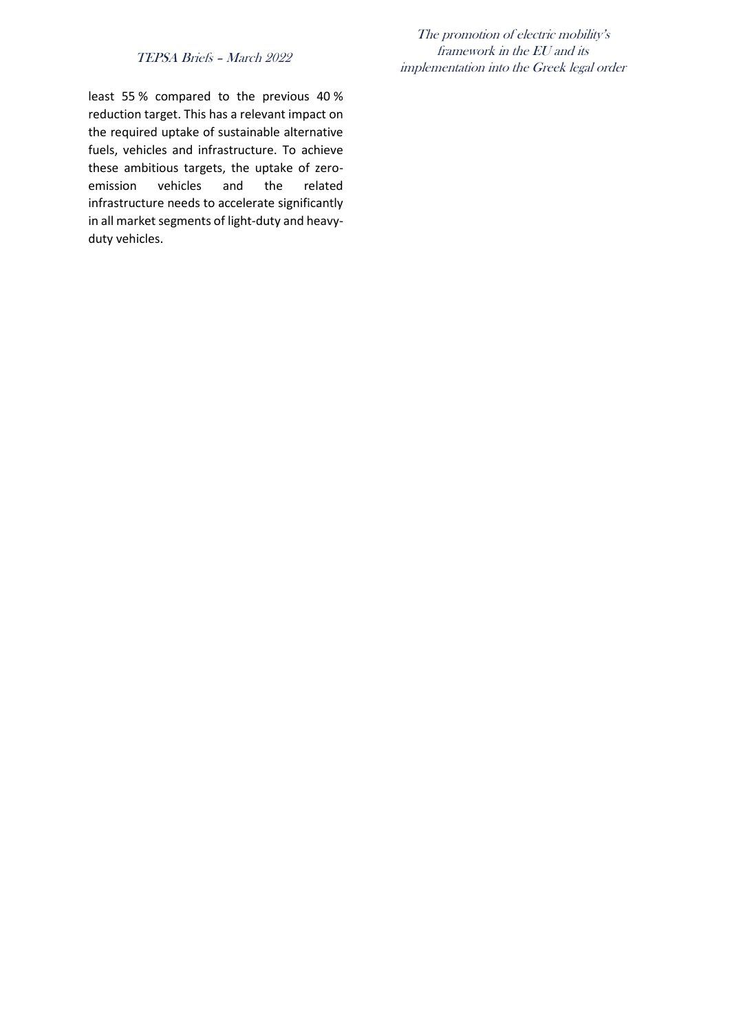#### TEPSA Briefs – March 2022

least 55 % compared to the previous 40 % reduction target. This has a relevant impact on the required uptake of sustainable alternative fuels, vehicles and infrastructure. To achieve these ambitious targets, the uptake of zeroemission vehicles and the related infrastructure needs to accelerate significantly in all market segments of light-duty and heavyduty vehicles.

The promotion of electric mobility's framework in the EU and its implementation into the Greek legal order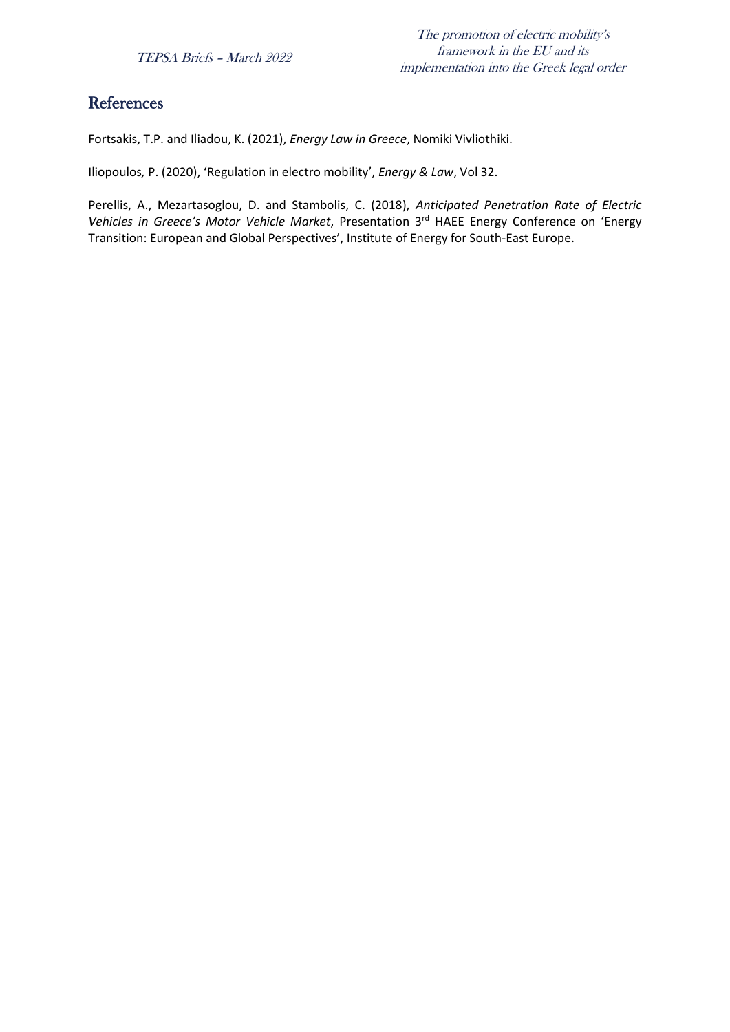## References

Fortsakis, T.P. and Iliadou, K. (2021), *Energy Law in Greece*, Nomiki Vivliothiki.

Iliopoulos*,* P. (2020), 'Regulation in electro mobility', *Energy & Law*, Vol 32.

Perellis, A., Mezartasoglou, D. and Stambolis, C. (2018), *Anticipated Penetration Rate of Electric Vehicles in Greece's Motor Vehicle Market*, Presentation 3rd HAEE Energy Conference on 'Energy Transition: European and Global Perspectives', Institute of Energy for South-East Europe.